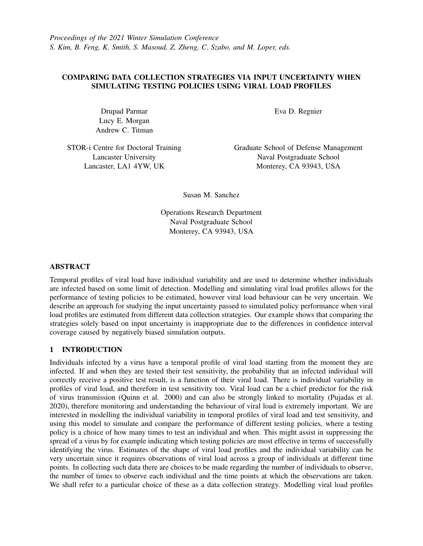# COMPARING DATA COLLECTION STRATEGIES VIA INPUT UNCERTAINTY WHEN SIMULATING TESTING POLICIES USING VIRAL LOAD PROFILES

Drupad Parmar Lucy E. Morgan Andrew C. Titman Eva D. Regnier

STOR-i Centre for Doctoral Training Lancaster University Lancaster, LA1 4YW, UK

Graduate School of Defense Management Naval Postgraduate School Monterey, CA 93943, USA

Susan M. Sanchez

Operations Research Department Naval Postgraduate School Monterey, CA 93943, USA

# ABSTRACT

Temporal profiles of viral load have individual variability and are used to determine whether individuals are infected based on some limit of detection. Modelling and simulating viral load profiles allows for the performance of testing policies to be estimated, however viral load behaviour can be very uncertain. We describe an approach for studying the input uncertainty passed to simulated policy performance when viral load profiles are estimated from different data collection strategies. Our example shows that comparing the strategies solely based on input uncertainty is inappropriate due to the differences in confidence interval coverage caused by negatively biased simulation outputs.

# 1 INTRODUCTION

Individuals infected by a virus have a temporal profile of viral load starting from the moment they are infected. If and when they are tested their test sensitivity, the probability that an infected individual will correctly receive a positive test result, is a function of their viral load. There is individual variability in profiles of viral load, and therefore in test sensitivity too. Viral load can be a chief predictor for the risk of virus transmission [\(Quinn et al. 2000\)](#page-10-0) and can also be strongly linked to mortality [\(Pujadas et al.](#page-10-1) [2020\)](#page-10-1), therefore monitoring and understanding the behaviour of viral load is extremely important. We are interested in modelling the individual variability in temporal profiles of viral load and test sensitivity, and using this model to simulate and compare the performance of different testing policies, where a testing policy is a choice of how many times to test an individual and when. This might assist in suppressing the spread of a virus by for example indicating which testing policies are most effective in terms of successfully identifying the virus. Estimates of the shape of viral load profiles and the individual variability can be very uncertain since it requires observations of viral load across a group of individuals at different time points. In collecting such data there are choices to be made regarding the number of individuals to observe, the number of times to observe each individual and the time points at which the observations are taken. We shall refer to a particular choice of these as a data collection strategy. Modelling viral load profiles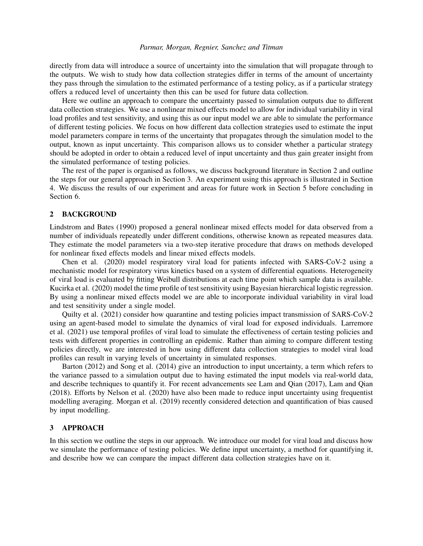directly from data will introduce a source of uncertainty into the simulation that will propagate through to the outputs. We wish to study how data collection strategies differ in terms of the amount of uncertainty they pass through the simulation to the estimated performance of a testing policy, as if a particular strategy offers a reduced level of uncertainty then this can be used for future data collection.

Here we outline an approach to compare the uncertainty passed to simulation outputs due to different data collection strategies. We use a nonlinear mixed effects model to allow for individual variability in viral load profiles and test sensitivity, and using this as our input model we are able to simulate the performance of different testing policies. We focus on how different data collection strategies used to estimate the input model parameters compare in terms of the uncertainty that propagates through the simulation model to the output, known as input uncertainty. This comparison allows us to consider whether a particular strategy should be adopted in order to obtain a reduced level of input uncertainty and thus gain greater insight from the simulated performance of testing policies.

The rest of the paper is organised as follows, we discuss background literature in Section [2](#page-1-0) and outline the steps for our general approach in Section [3.](#page-1-1) An experiment using this approach is illustrated in Section [4.](#page-4-0) We discuss the results of our experiment and areas for future work in Section [5](#page-9-0) before concluding in Section [6.](#page-9-1)

# <span id="page-1-0"></span>2 BACKGROUND

[Lindstrom and Bates \(1990\)](#page-10-2) proposed a general nonlinear mixed effects model for data observed from a number of individuals repeatedly under different conditions, otherwise known as repeated measures data. They estimate the model parameters via a two-step iterative procedure that draws on methods developed for nonlinear fixed effects models and linear mixed effects models.

[Chen et al. \(2020\)](#page-10-3) model respiratory viral load for patients infected with SARS-CoV-2 using a mechanistic model for respiratory virus kinetics based on a system of differential equations. Heterogeneity of viral load is evaluated by fitting Weibull distributions at each time point which sample data is available. [Kucirka et al. \(2020\)](#page-10-4) model the time profile of test sensitivity using Bayesian hierarchical logistic regression. By using a nonlinear mixed effects model we are able to incorporate individual variability in viral load and test sensitivity under a single model.

[Quilty et al. \(2021\)](#page-10-5) consider how quarantine and testing policies impact transmission of SARS-CoV-2 using an agent-based model to simulate the dynamics of viral load for exposed individuals. [Larremore](#page-10-6) [et al. \(2021\)](#page-10-6) use temporal profiles of viral load to simulate the effectiveness of certain testing policies and tests with different properties in controlling an epidemic. Rather than aiming to compare different testing policies directly, we are interested in how using different data collection strategies to model viral load profiles can result in varying levels of uncertainty in simulated responses.

[Barton \(2012\)](#page-10-7) and [Song et al. \(2014\)](#page-10-8) give an introduction to input uncertainty, a term which refers to the variance passed to a simulation output due to having estimated the input models via real-world data, and describe techniques to quantify it. For recent advancements see [Lam and Qian \(2017\),](#page-10-9) [Lam and Qian](#page-10-10) [\(2018\).](#page-10-10) Efforts by [Nelson et al. \(2020\)](#page-10-11) have also been made to reduce input uncertainty using frequentist modelling averaging. [Morgan et al. \(2019\)](#page-10-12) recently considered detection and quantification of bias caused by input modelling.

# <span id="page-1-1"></span>3 APPROACH

In this section we outline the steps in our approach. We introduce our model for viral load and discuss how we simulate the performance of testing policies. We define input uncertainty, a method for quantifying it, and describe how we can compare the impact different data collection strategies have on it.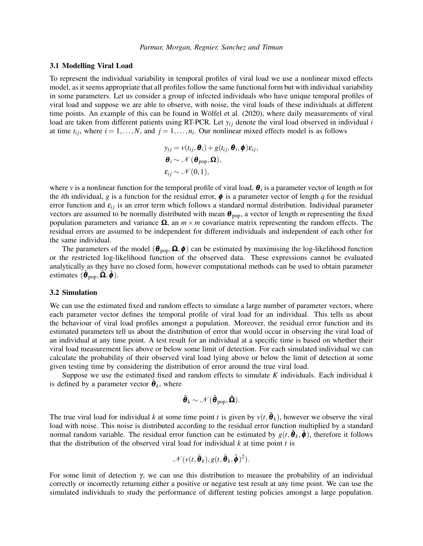## 3.1 Modelling Viral Load

To represent the individual variability in temporal profiles of viral load we use a nonlinear mixed effects model, as it seems appropriate that all profiles follow the same functional form but with individual variability in some parameters. Let us consider a group of infected individuals who have unique temporal profiles of viral load and suppose we are able to observe, with noise, the viral loads of these individuals at different time points. An example of this can be found in Wölfel et al. (2020), where daily measurements of viral load are taken from different patients using RT-PCR. Let  $y_i$  denote the viral load observed in individual *i* at time  $t_{ij}$ , where  $i = 1, ..., N$ , and  $j = 1, ..., n_i$ . Our nonlinear mixed effects model is as follows

$$
y_{ij} = v(t_{ij}, \boldsymbol{\theta}_i) + g(t_{ij}, \boldsymbol{\theta}_i, \boldsymbol{\phi}) \varepsilon_{ij},
$$
  

$$
\boldsymbol{\theta}_i \sim \mathcal{N}(\boldsymbol{\theta}_{pop}, \boldsymbol{\Omega}),
$$
  

$$
\varepsilon_{ij} \sim \mathcal{N}(0, 1),
$$

where *v* is a nonlinear function for the temporal profile of viral load, θ *<sup>i</sup>* is a parameter vector of length *m* for the *i*th individual, *g* is a function for the residual error,  $\phi$  is a parameter vector of length *q* for the residual error function and  $\varepsilon_{ij}$  is an error term which follows a standard normal distribution. Individual parameter vectors are assumed to be normally distributed with mean  $\theta_{pop}$ , a vector of length *m* representing the fixed population parameters and variance  $\Omega$ , an  $m \times m$  covariance matrix representing the random effects. The residual errors are assumed to be independent for different individuals and independent of each other for the same individual.

The parameters of the model  $(\theta_{pop}, \Omega, \phi)$  can be estimated by maximising the log-likelihood function or the restricted log-likelihood function of the observed data. These expressions cannot be evaluated analytically as they have no closed form, however computational methods can be used to obtain parameter estimates  $(\hat{\boldsymbol{\theta}}_{\text{pop}}, \hat{\boldsymbol{\Omega}}, \hat{\boldsymbol{\phi}})$ .

### 3.2 Simulation

We can use the estimated fixed and random effects to simulate a large number of parameter vectors, where each parameter vector defines the temporal profile of viral load for an individual. This tells us about the behaviour of viral load profiles amongst a population. Moreover, the residual error function and its estimated parameters tell us about the distribution of error that would occur in observing the viral load of an individual at any time point. A test result for an individual at a specific time is based on whether their viral load measurement lies above or below some limit of detection. For each simulated individual we can calculate the probability of their observed viral load lying above or below the limit of detection at some given testing time by considering the distribution of error around the true viral load.

Suppose we use the estimated fixed and random effects to simulate *K* individuals. Each individual *k* is defined by a parameter vector  $\tilde{\boldsymbol{\theta}}_k$ , where

$$
\tilde{\boldsymbol{\theta}}_k \sim \mathcal{N}(\hat{\boldsymbol{\theta}}_{\text{pop}}, \hat{\boldsymbol{\Omega}}).
$$

The true viral load for individual *k* at some time point *t* is given by  $v(t, \tilde{\theta}_k)$ , however we observe the viral load with noise. This noise is distributed according to the residual error function multiplied by a standard normal random variable. The residual error function can be estimated by  $g(t, \tilde{\theta}_k, \hat{\phi})$ , therefore it follows that the distribution of the observed viral load for individual  $k$  at time point  $t$  is

$$
\mathcal{N}(v(t, \tilde{\boldsymbol{\theta}}_k), g(t, \tilde{\boldsymbol{\theta}}_k, \hat{\boldsymbol{\phi}})^2).
$$

For some limit of detection  $\gamma$ , we can use this distribution to measure the probability of an individual correctly or incorrectly returning either a positive or negative test result at any time point. We can use the simulated individuals to study the performance of different testing policies amongst a large population.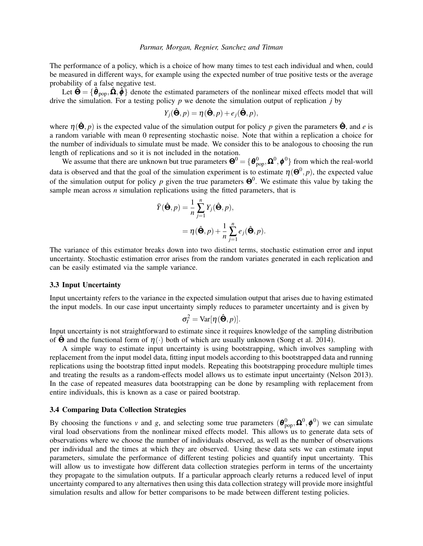The performance of a policy, which is a choice of how many times to test each individual and when, could be measured in different ways, for example using the expected number of true positive tests or the average probability of a false negative test.

Let  $\hat{\Theta} = \{\hat{\theta}_{\text{pop}}, \hat{\Omega}, \hat{\phi}\}\$ denote the estimated parameters of the nonlinear mixed effects model that will drive the simulation. For a testing policy *p* we denote the simulation output of replication *j* by

$$
Y_j(\hat{\mathbf{\Theta}}, p) = \eta(\hat{\mathbf{\Theta}}, p) + e_j(\hat{\mathbf{\Theta}}, p),
$$

where  $\eta(\hat{\Theta}, p)$  is the expected value of the simulation output for policy p given the parameters  $\hat{\Theta}$ , and e is a random variable with mean 0 representing stochastic noise. Note that within a replication a choice for the number of individuals to simulate must be made. We consider this to be analogous to choosing the run length of replications and so it is not included in the notation.

We assume that there are unknown but true parameters  $\mathbf{\Theta}^0 = \{\mathbf{\theta}_{\rm pop}^0, \mathbf{\Omega}^0, \mathbf{\phi}^0\}$  from which the real-world data is observed and that the goal of the simulation experiment is to estimate  $\eta(\mathbf{\Theta}^0,p)$ , the expected value of the simulation output for policy  $p$  given the true parameters  $\mathbf{\Theta}^0$ . We estimate this value by taking the sample mean across *n* simulation replications using the fitted parameters, that is

$$
\bar{Y}(\hat{\mathbf{\Theta}}, p) = \frac{1}{n} \sum_{j=1}^{n} Y_j(\hat{\mathbf{\Theta}}, p),
$$
  
=  $\eta(\hat{\mathbf{\Theta}}, p) + \frac{1}{n} \sum_{j=1}^{n} e_j(\hat{\mathbf{\Theta}}, p).$ 

The variance of this estimator breaks down into two distinct terms, stochastic estimation error and input uncertainty. Stochastic estimation error arises from the random variates generated in each replication and can be easily estimated via the sample variance.

# 3.3 Input Uncertainty

Input uncertainty refers to the variance in the expected simulation output that arises due to having estimated the input models. In our case input uncertainty simply reduces to parameter uncertainty and is given by

$$
\sigma_I^2 = \text{Var}[\eta(\hat{\mathbf{\Theta}}, p)].
$$

Input uncertainty is not straightforward to estimate since it requires knowledge of the sampling distribution of  $\Theta$  and the functional form of  $\eta(\cdot)$  both of which are usually unknown [\(Song et al. 2014\)](#page-10-8).

A simple way to estimate input uncertainty is using bootstrapping, which involves sampling with replacement from the input model data, fitting input models according to this bootstrapped data and running replications using the bootstrap fitted input models. Repeating this bootstrapping procedure multiple times and treating the results as a random-effects model allows us to estimate input uncertainty [\(Nelson 2013\)](#page-10-14). In the case of repeated measures data bootstrapping can be done by resampling with replacement from entire individuals, this is known as a case or paired bootstrap.

# 3.4 Comparing Data Collection Strategies

By choosing the functions *v* and *g*, and selecting some true parameters  $(\theta_{pop}^0, \Omega^0, \phi^0)$  we can simulate viral load observations from the nonlinear mixed effects model. This allows us to generate data sets of observations where we choose the number of individuals observed, as well as the number of observations per individual and the times at which they are observed. Using these data sets we can estimate input parameters, simulate the performance of different testing policies and quantify input uncertainty. This will allow us to investigate how different data collection strategies perform in terms of the uncertainty they propagate to the simulation outputs. If a particular approach clearly returns a reduced level of input uncertainty compared to any alternatives then using this data collection strategy will provide more insightful simulation results and allow for better comparisons to be made between different testing policies.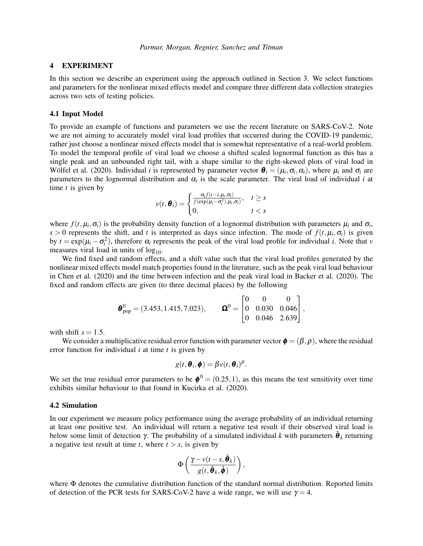## <span id="page-4-0"></span>4 EXPERIMENT

In this section we describe an experiment using the approach outlined in Section [3.](#page-1-1) We select functions and parameters for the nonlinear mixed effects model and compare three different data collection strategies across two sets of testing policies.

# 4.1 Input Model

To provide an example of functions and parameters we use the recent literature on SARS-CoV-2. Note we are not aiming to accurately model viral load profiles that occurred during the COVID-19 pandemic, rather just choose a nonlinear mixed effects model that is somewhat representative of a real-world problem. To model the temporal profile of viral load we choose a shifted scaled lognormal function as this has a single peak and an unbounded right tail, with a shape similar to the right-skewed plots of viral load in Wölfel et al. (2020). Individual *i* is represented by parameter vector  $\theta_i = (\mu_i, \sigma_i, \alpha_i)$ , where  $\mu_i$  and  $\sigma_i$  are parameters to the lognormal distribution and  $\alpha_i$  is the scale parameter. The viral load of individual *i* at time *t* is given by

$$
v(t, \boldsymbol{\theta}_i) = \begin{cases} \frac{\alpha_i f(t-s, \mu_i, \sigma_i)}{f(\exp(\mu_i - \sigma_i^2), \mu_i, \sigma_i)}, & t \ge s \\ 0, & t < s \end{cases}
$$

where  $f(t, \mu_i, \sigma_i)$  is the probability density function of a lognormal distribution with parameters  $\mu_i$  and  $\sigma_i$ ,  $s > 0$  represents the shift, and *t* is interpreted as days since infection. The mode of  $f(t, \mu_i, \sigma_i)$  is given by  $t = \exp(\mu_i - \sigma_i^2)$ , therefore  $\alpha_i$  represents the peak of the viral load profile for individual *i*. Note that *v* measures viral load in units of  $log_{10}$ .

We find fixed and random effects, and a shift value such that the viral load profiles generated by the nonlinear mixed effects model match properties found in the literature, such as the peak viral load behaviour in [Chen et al. \(2020\)](#page-10-3) and the time between infection and the peak viral load in [Backer et al. \(2020\).](#page-10-15) The fixed and random effects are given (to three decimal places) by the following

$$
\boldsymbol{\theta}_{pop}^{0} = (3.453, 1.415, 7.023), \quad \boldsymbol{\Omega}^{0} = \begin{bmatrix} 0 & 0 & 0 \\ 0 & 0.030 & 0.046 \\ 0 & 0.046 & 2.639 \end{bmatrix},
$$

with shift  $s = 1.5$ .

We consider a multiplicative residual error function with parameter vector  $\phi = (\beta, \rho)$ , where the residual error function for individual *i* at time *t* is given by

$$
g(t, \boldsymbol{\theta}_i, \boldsymbol{\phi}) = \beta v(t, \boldsymbol{\theta}_i)^{\rho}.
$$

We set the true residual error parameters to be  $\phi^0 = (0.25, 1)$ , as this means the test sensitivity over time exhibits similar behaviour to that found in [Kucirka et al. \(2020\).](#page-10-4)

### 4.2 Simulation

In our experiment we measure policy performance using the average probability of an individual returning at least one positive test. An individual will return a negative test result if their observed viral load is below some limit of detection  $\gamma$ . The probability of a simulated individual *k* with parameters  $\hat{\boldsymbol{\theta}}_k$  returning a negative test result at time  $t$ , where  $t > s$ , is given by

$$
\Phi\left(\frac{\gamma\!-\nu(t-s,\tilde{\pmb\theta}_k)}{g(t,\tilde{\pmb\theta}_k,\hat{\pmb\phi})}\right),
$$

where Φ denotes the cumulative distribution function of the standard normal distribution. Reported limits of detection of the PCR tests for SARS-CoV-2 have a wide range, we will use  $\gamma = 4$ .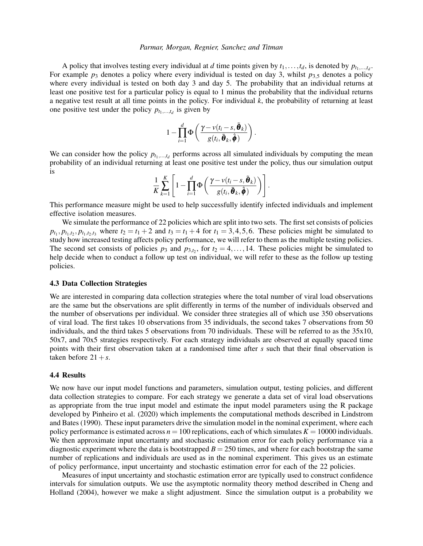A policy that involves testing every individual at *d* time points given by  $t_1, \ldots, t_d$ , is denoted by  $p_{t_1, \ldots, t_d}$ . For example  $p_3$  denotes a policy where every individual is tested on day 3, whilst  $p_{3,5}$  denotes a policy where every individual is tested on both day 3 and day 5. The probability that an individual returns at least one positive test for a particular policy is equal to 1 minus the probability that the individual returns a negative test result at all time points in the policy. For individual *k*, the probability of returning at least one positive test under the policy  $p_{t_1,\dots,t_d}$  is given by

$$
1 - \prod_{i=1}^d \Phi\left(\frac{\gamma - v(t_i - s, \tilde{\boldsymbol{\theta}}_k)}{g(t_i, \tilde{\boldsymbol{\theta}}_k, \hat{\boldsymbol{\phi}})}\right).
$$

We can consider how the policy  $p_{t_1,\dots,t_d}$  performs across all simulated individuals by computing the mean probability of an individual returning at least one positive test under the policy, thus our simulation output is

$$
\frac{1}{K}\sum_{k=1}^K\left[1-\prod_{i=1}^d\Phi\left(\frac{\gamma-v(t_i-s,\tilde{\boldsymbol{\theta}}_k)}{g(t_i,\tilde{\boldsymbol{\theta}}_k,\hat{\boldsymbol{\phi}})}\right)\right].
$$

This performance measure might be used to help successfully identify infected individuals and implement effective isolation measures.

We simulate the performance of 22 policies which are split into two sets. The first set consists of policies  $p_{t_1}, p_{t_1,t_2}, p_{t_1,t_2,t_3}$  where  $t_2 = t_1 + 2$  and  $t_3 = t_1 + 4$  for  $t_1 = 3, 4, 5, 6$ . These policies might be simulated to study how increased testing affects policy performance, we will refer to them as the multiple testing policies. The second set consists of policies  $p_3$  and  $p_{3,t_2}$ , for  $t_2 = 4, \ldots, 14$ . These policies might be simulated to help decide when to conduct a follow up test on individual, we will refer to these as the follow up testing policies.

# 4.3 Data Collection Strategies

We are interested in comparing data collection strategies where the total number of viral load observations are the same but the observations are split differently in terms of the number of individuals observed and the number of observations per individual. We consider three strategies all of which use 350 observations of viral load. The first takes 10 observations from 35 individuals, the second takes 7 observations from 50 individuals, and the third takes 5 observations from 70 individuals. These will be referred to as the 35x10, 50x7, and 70x5 strategies respectively. For each strategy individuals are observed at equally spaced time points with their first observation taken at a randomised time after *s* such that their final observation is taken before  $21 + s$ .

# 4.4 Results

We now have our input model functions and parameters, simulation output, testing policies, and different data collection strategies to compare. For each strategy we generate a data set of viral load observations as appropriate from the true input model and estimate the input model parameters using the R package developed by [Pinheiro et al. \(2020\)](#page-10-16) which implements the computational methods described in [Lindstrom](#page-10-2) [and Bates \(1990\).](#page-10-2) These input parameters drive the simulation model in the nominal experiment, where each policy performance is estimated across  $n = 100$  replications, each of which simulates  $K = 10000$  individuals. We then approximate input uncertainty and stochastic estimation error for each policy performance via a diagnostic experiment where the data is bootstrapped  $B = 250$  times, and where for each bootstrap the same number of replications and individuals are used as in the nominal experiment. This gives us an estimate of policy performance, input uncertainty and stochastic estimation error for each of the 22 policies.

Measures of input uncertainty and stochastic estimation error are typically used to construct confidence intervals for simulation outputs. We use the asymptotic normality theory method described in [Cheng and](#page-10-17) [Holland \(2004\),](#page-10-17) however we make a slight adjustment. Since the simulation output is a probability we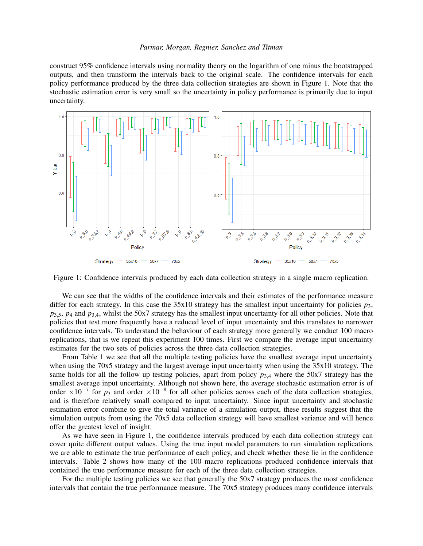construct 95% confidence intervals using normality theory on the logarithm of one minus the bootstrapped outputs, and then transform the intervals back to the original scale. The confidence intervals for each policy performance produced by the three data collection strategies are shown in Figure [1.](#page-6-0) Note that the stochastic estimation error is very small so the uncertainty in policy performance is primarily due to input uncertainty.

<span id="page-6-0"></span>

Figure 1: Confidence intervals produced by each data collection strategy in a single macro replication.

We can see that the widths of the confidence intervals and their estimates of the performance measure differ for each strategy. In this case the 35x10 strategy has the smallest input uncertainty for policies *p*3, *p*3,5, *p*<sup>4</sup> and *p*3,4, whilst the 50x7 strategy has the smallest input uncertainty for all other policies. Note that policies that test more frequently have a reduced level of input uncertainty and this translates to narrower confidence intervals. To understand the behaviour of each strategy more generally we conduct 100 macro replications, that is we repeat this experiment 100 times. First we compare the average input uncertainty estimates for the two sets of policies across the three data collection strategies.

From Table [1](#page-7-0) we see that all the multiple testing policies have the smallest average input uncertainty when using the 70x5 strategy and the largest average input uncertainty when using the 35x10 strategy. The same holds for all the follow up testing policies, apart from policy  $p_{3,4}$  where the 50x7 strategy has the smallest average input uncertainty. Although not shown here, the average stochastic estimation error is of order  $\times 10^{-7}$  for  $p_3$  and order  $\times 10^{-8}$  for all other policies across each of the data collection strategies, and is therefore relatively small compared to input uncertainty. Since input uncertainty and stochastic estimation error combine to give the total variance of a simulation output, these results suggest that the simulation outputs from using the 70x5 data collection strategy will have smallest variance and will hence offer the greatest level of insight.

As we have seen in Figure [1,](#page-6-0) the confidence intervals produced by each data collection strategy can cover quite different output values. Using the true input model parameters to run simulation replications we are able to estimate the true performance of each policy, and check whether these lie in the confidence intervals. Table [2](#page-7-1) shows how many of the 100 macro replications produced confidence intervals that contained the true performance measure for each of the three data collection strategies.

For the multiple testing policies we see that generally the 50x7 strategy produces the most confidence intervals that contain the true performance measure. The 70x5 strategy produces many confidence intervals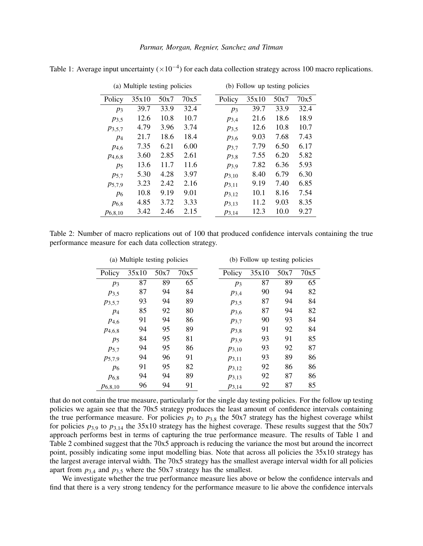| (a) Multiple testing policies |       |      |      | (b) Follow up testing policies |       |      |      |
|-------------------------------|-------|------|------|--------------------------------|-------|------|------|
| Policy                        | 35x10 | 50x7 | 70x5 | Policy                         | 35x10 | 50x7 | 70x5 |
| $p_3$                         | 39.7  | 33.9 | 32.4 | $p_3$                          | 39.7  | 33.9 | 32.4 |
| $p_{3,5}$                     | 12.6  | 10.8 | 10.7 | $p_{3,4}$                      | 21.6  | 18.6 | 18.9 |
| $p_{3,5,7}$                   | 4.79  | 3.96 | 3.74 | $p_{3.5}$                      | 12.6  | 10.8 | 10.7 |
| $p_4$                         | 21.7  | 18.6 | 18.4 | $p_{3,6}$                      | 9.03  | 7.68 | 7.43 |
| $p_{4,6}$                     | 7.35  | 6.21 | 6.00 | $p_{3,7}$                      | 7.79  | 6.50 | 6.17 |
| $p_{4,6,8}$                   | 3.60  | 2.85 | 2.61 | $p_{3,8}$                      | 7.55  | 6.20 | 5.82 |
| $p_5$                         | 13.6  | 11.7 | 11.6 | $p_{3.9}$                      | 7.82  | 6.36 | 5.93 |
| $p_{5,7}$                     | 5.30  | 4.28 | 3.97 | $p_{3,10}$                     | 8.40  | 6.79 | 6.30 |
| $p_{5,7,9}$                   | 3.23  | 2.42 | 2.16 | $p_{3,11}$                     | 9.19  | 7.40 | 6.85 |
| $p_6$                         | 10.8  | 9.19 | 9.01 | $p_{3,12}$                     | 10.1  | 8.16 | 7.54 |
| $p_{6,8}$                     | 4.85  | 3.72 | 3.33 | $p_{3,13}$                     | 11.2  | 9.03 | 8.35 |
| $p_{6,8,10}$                  | 3.42  | 2.46 | 2.15 | $p_{3,14}$                     | 12.3  | 10.0 | 9.27 |

<span id="page-7-0"></span>Table 1: Average input uncertainty  $(\times 10^{-4})$  for each data collection strategy across 100 macro replications.

<span id="page-7-1"></span>Table 2: Number of macro replications out of 100 that produced confidence intervals containing the true performance measure for each data collection strategy.

|                | (a) Multiple testing policies |      |      |            | (b) Follow up testing policies |      |      |  |
|----------------|-------------------------------|------|------|------------|--------------------------------|------|------|--|
| Policy         | 35x10                         | 50x7 | 70x5 | Policy     | 35x10                          | 50x7 | 70x5 |  |
| $p_3$          | 87                            | 89   | 65   | $p_3$      | 87                             | 89   | 65   |  |
| $p_{3,5}$      | 87                            | 94   | 84   | $p_{3,4}$  | 90                             | 94   | 82   |  |
| $p_{3,5,7}$    | 93                            | 94   | 89   | $p_{3.5}$  | 87                             | 94   | 84   |  |
| $p_4$          | 85                            | 92   | 80   | $p_{3,6}$  | 87                             | 94   | 82   |  |
| $p_{4,6}$      | 91                            | 94   | 86   | $p_{3,7}$  | 90                             | 93   | 84   |  |
| $p_{4,6,8}$    | 94                            | 95   | 89   | $p_{3,8}$  | 91                             | 92   | 84   |  |
| p <sub>5</sub> | 84                            | 95   | 81   | $p_{3,9}$  | 93                             | 91   | 85   |  |
| $p_{5,7}$      | 94                            | 95   | 86   | $p_{3,10}$ | 93                             | 92   | 87   |  |
| $p_{5,7,9}$    | 94                            | 96   | 91   | $p_{3,11}$ | 93                             | 89   | 86   |  |
| $p_6$          | 91                            | 95   | 82   | $p_{3,12}$ | 92                             | 86   | 86   |  |
| $p_{6,8}$      | 94                            | 94   | 89   | $p_{3,13}$ | 92                             | 87   | 86   |  |
| $p_{6,8,10}$   | 96                            | 94   | 91   | $p_{3,14}$ | 92                             | 87   | 85   |  |

that do not contain the true measure, particularly for the single day testing policies. For the follow up testing policies we again see that the 70x5 strategy produces the least amount of confidence intervals containing the true performance measure. For policies  $p_3$  to  $p_{3,8}$  the 50x7 strategy has the highest coverage whilst for policies  $p_{3,9}$  to  $p_{3,14}$  the 35x10 strategy has the highest coverage. These results suggest that the 50x7 approach performs best in terms of capturing the true performance measure. The results of Table [1](#page-7-0) and Table [2](#page-7-1) combined suggest that the 70x5 approach is reducing the variance the most but around the incorrect point, possibly indicating some input modelling bias. Note that across all policies the 35x10 strategy has the largest average interval width. The 70x5 strategy has the smallest average interval width for all policies apart from  $p_{3,4}$  and  $p_{3,5}$  where the 50x7 strategy has the smallest.

We investigate whether the true performance measure lies above or below the confidence intervals and find that there is a very strong tendency for the performance measure to lie above the confidence intervals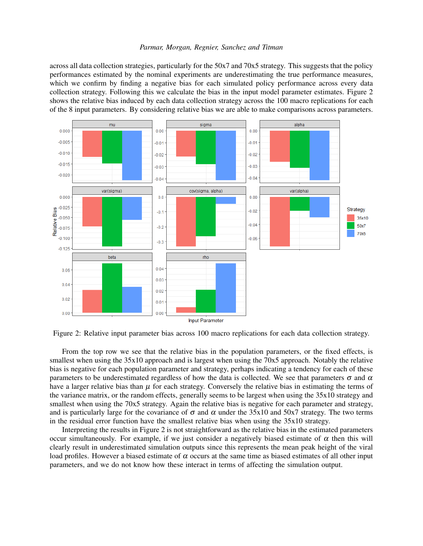across all data collection strategies, particularly for the 50x7 and 70x5 strategy. This suggests that the policy performances estimated by the nominal experiments are underestimating the true performance measures, which we confirm by finding a negative bias for each simulated policy performance across every data collection strategy. Following this we calculate the bias in the input model parameter estimates. Figure [2](#page-8-0) shows the relative bias induced by each data collection strategy across the 100 macro replications for each of the 8 input parameters. By considering relative bias we are able to make comparisons across parameters.

<span id="page-8-0"></span>

Figure 2: Relative input parameter bias across 100 macro replications for each data collection strategy.

From the top row we see that the relative bias in the population parameters, or the fixed effects, is smallest when using the 35x10 approach and is largest when using the 70x5 approach. Notably the relative bias is negative for each population parameter and strategy, perhaps indicating a tendency for each of these parameters to be underestimated regardless of how the data is collected. We see that parameters  $\sigma$  and  $\alpha$ have a larger relative bias than  $\mu$  for each strategy. Conversely the relative bias in estimating the terms of the variance matrix, or the random effects, generally seems to be largest when using the 35x10 strategy and smallest when using the 70x5 strategy. Again the relative bias is negative for each parameter and strategy, and is particularly large for the covariance of  $\sigma$  and  $\alpha$  under the 35x10 and 50x7 strategy. The two terms in the residual error function have the smallest relative bias when using the 35x10 strategy.

Interpreting the results in Figure [2](#page-8-0) is not straightforward as the relative bias in the estimated parameters occur simultaneously. For example, if we just consider a negatively biased estimate of  $\alpha$  then this will clearly result in underestimated simulation outputs since this represents the mean peak height of the viral load profiles. However a biased estimate of  $\alpha$  occurs at the same time as biased estimates of all other input parameters, and we do not know how these interact in terms of affecting the simulation output.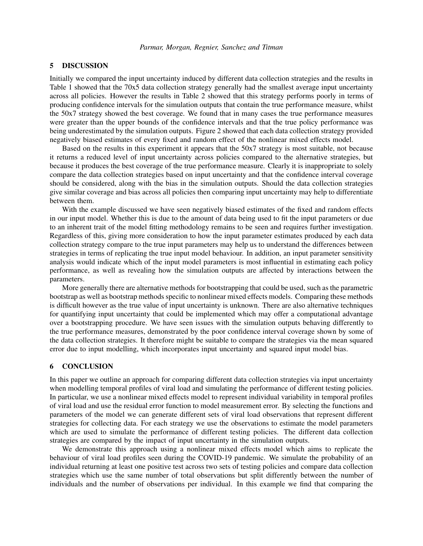# <span id="page-9-0"></span>5 DISCUSSION

Initially we compared the input uncertainty induced by different data collection strategies and the results in Table [1](#page-7-0) showed that the 70x5 data collection strategy generally had the smallest average input uncertainty across all policies. However the results in Table [2](#page-7-1) showed that this strategy performs poorly in terms of producing confidence intervals for the simulation outputs that contain the true performance measure, whilst the 50x7 strategy showed the best coverage. We found that in many cases the true performance measures were greater than the upper bounds of the confidence intervals and that the true policy performance was being underestimated by the simulation outputs. Figure [2](#page-8-0) showed that each data collection strategy provided negatively biased estimates of every fixed and random effect of the nonlinear mixed effects model.

Based on the results in this experiment it appears that the 50x7 strategy is most suitable, not because it returns a reduced level of input uncertainty across policies compared to the alternative strategies, but because it produces the best coverage of the true performance measure. Clearly it is inappropriate to solely compare the data collection strategies based on input uncertainty and that the confidence interval coverage should be considered, along with the bias in the simulation outputs. Should the data collection strategies give similar coverage and bias across all policies then comparing input uncertainty may help to differentiate between them.

With the example discussed we have seen negatively biased estimates of the fixed and random effects in our input model. Whether this is due to the amount of data being used to fit the input parameters or due to an inherent trait of the model fitting methodology remains to be seen and requires further investigation. Regardless of this, giving more consideration to how the input parameter estimates produced by each data collection strategy compare to the true input parameters may help us to understand the differences between strategies in terms of replicating the true input model behaviour. In addition, an input parameter sensitivity analysis would indicate which of the input model parameters is most influential in estimating each policy performance, as well as revealing how the simulation outputs are affected by interactions between the parameters.

More generally there are alternative methods for bootstrapping that could be used, such as the parametric bootstrap as well as bootstrap methods specific to nonlinear mixed effects models. Comparing these methods is difficult however as the true value of input uncertainty is unknown. There are also alternative techniques for quantifying input uncertainty that could be implemented which may offer a computational advantage over a bootstrapping procedure. We have seen issues with the simulation outputs behaving differently to the true performance measures, demonstrated by the poor confidence interval coverage shown by some of the data collection strategies. It therefore might be suitable to compare the strategies via the mean squared error due to input modelling, which incorporates input uncertainty and squared input model bias.

# <span id="page-9-1"></span>6 CONCLUSION

In this paper we outline an approach for comparing different data collection strategies via input uncertainty when modelling temporal profiles of viral load and simulating the performance of different testing policies. In particular, we use a nonlinear mixed effects model to represent individual variability in temporal profiles of viral load and use the residual error function to model measurement error. By selecting the functions and parameters of the model we can generate different sets of viral load observations that represent different strategies for collecting data. For each strategy we use the observations to estimate the model parameters which are used to simulate the performance of different testing policies. The different data collection strategies are compared by the impact of input uncertainty in the simulation outputs.

We demonstrate this approach using a nonlinear mixed effects model which aims to replicate the behaviour of viral load profiles seen during the COVID-19 pandemic. We simulate the probability of an individual returning at least one positive test across two sets of testing policies and compare data collection strategies which use the same number of total observations but split differently between the number of individuals and the number of observations per individual. In this example we find that comparing the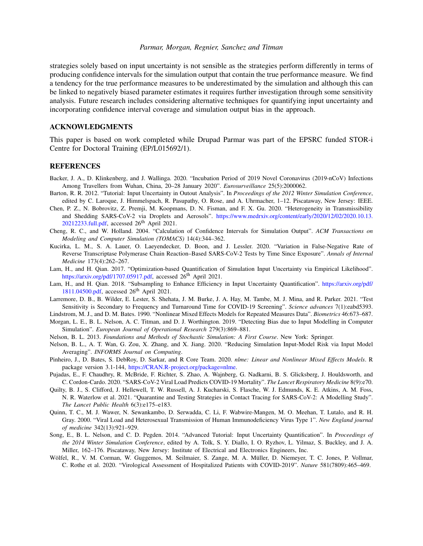strategies solely based on input uncertainty is not sensible as the strategies perform differently in terms of producing confidence intervals for the simulation output that contain the true performance measure. We find a tendency for the true performance measures to be underestimated by the simulation and although this can be linked to negatively biased parameter estimates it requires further investigation through some sensitivity analysis. Future research includes considering alternative techniques for quantifying input uncertainty and incorporating confidence interval coverage and simulation output bias in the approach.

# ACKNOWLEDGMENTS

This paper is based on work completed while Drupad Parmar was part of the EPSRC funded STOR-i Centre for Doctoral Training (EP/L015692/1).

# **REFERENCES**

- <span id="page-10-15"></span>Backer, J. A., D. Klinkenberg, and J. Wallinga. 2020. "Incubation Period of 2019 Novel Coronavirus (2019-nCoV) Infections Among Travellers from Wuhan, China, 20–28 January 2020". *Eurosurveillance* 25(5):2000062.
- <span id="page-10-7"></span>Barton, R. R. 2012. "Tutorial: Input Uncertainty in Outout Analysis". In *Proceedings of the 2012 Winter Simulation Conference*, edited by C. Laroque, J. Himmelspach, R. Pasupathy, O. Rose, and A. Uhrmacher, 1–12. Piscataway, New Jersey: IEEE.
- <span id="page-10-3"></span>Chen, P. Z., N. Bobrovitz, Z. Premji, M. Koopmans, D. N. Fisman, and F. X. Gu. 2020. "Heterogeneity in Transmissibility and Shedding SARS-CoV-2 via Droplets and Aerosols". [https://www.medrxiv.org/content/early/2020/12/02/2020.10.13.](https://www.medrxiv.org/content/early/2020/12/02/2020.10.13.20212233.full.pdf)  $20212233$ .full.pdf, accessed  $26<sup>th</sup>$  April 2021.
- <span id="page-10-17"></span>Cheng, R. C., and W. Holland. 2004. "Calculation of Confidence Intervals for Simulation Output". *ACM Transactions on Modeling and Computer Simulation (TOMACS)* 14(4):344–362.
- <span id="page-10-4"></span>Kucirka, L. M., S. A. Lauer, O. Laeyendecker, D. Boon, and J. Lessler. 2020. "Variation in False-Negative Rate of Reverse Transcriptase Polymerase Chain Reaction–Based SARS-CoV-2 Tests by Time Since Exposure". *Annals of Internal Medicine* 173(4):262–267.
- <span id="page-10-9"></span>Lam, H., and H. Qian. 2017. "Optimization-based Quantification of Simulation Input Uncertainty via Empirical Likelihood". [https://arxiv.org/pdf/1707.05917.pdf,](https://arxiv.org/pdf/1707.05917.pdf) accessed 26<sup>th</sup> April 2021.
- <span id="page-10-10"></span>Lam, H., and H. Qian. 2018. "Subsampling to Enhance Efficiency in Input Uncertainty Quantification". [https://arxiv.org/pdf/](https://arxiv.org/pdf/1811.04500.pdf) [1811.04500.pdf,](https://arxiv.org/pdf/1811.04500.pdf) accessed 26<sup>th</sup> April 2021.
- <span id="page-10-6"></span>Larremore, D. B., B. Wilder, E. Lester, S. Shehata, J. M. Burke, J. A. Hay, M. Tambe, M. J. Mina, and R. Parker. 2021. "Test Sensitivity is Secondary to Frequency and Turnaround Time for COVID-19 Screening". *Science advances* 7(1):eabd5393.
- <span id="page-10-2"></span>Lindstrom, M. J., and D. M. Bates. 1990. "Nonlinear Mixed Effects Models for Repeated Measures Data". *Biometrics* 46:673–687.
- <span id="page-10-12"></span>Morgan, L. E., B. L. Nelson, A. C. Titman, and D. J. Worthington. 2019. "Detecting Bias due to Input Modelling in Computer Simulation". *European Journal of Operational Research* 279(3):869–881.
- <span id="page-10-14"></span>Nelson, B. L. 2013. *Foundations and Methods of Stochastic Simulation: A First Course*. New York: Springer.
- <span id="page-10-11"></span>Nelson, B. L., A. T. Wan, G. Zou, X. Zhang, and X. Jiang. 2020. "Reducing Simulation Input-Model Risk via Input Model Averaging". *INFORMS Journal on Computing*.
- <span id="page-10-16"></span>Pinheiro, J., D. Bates, S. DebRoy, D. Sarkar, and R Core Team. 2020. *nlme: Linear and Nonlinear Mixed Effects Models*. R package version 3.1-144, [https://CRAN.R-project.org/package=nlme.](https://CRAN.R-project.org/package=nlme)
- <span id="page-10-1"></span>Pujadas, E., F. Chaudhry, R. McBride, F. Richter, S. Zhao, A. Wajnberg, G. Nadkarni, B. S. Glicksberg, J. Houldsworth, and C. Cordon-Cardo. 2020. "SARS-CoV-2 Viral Load Predicts COVID-19 Mortality". *The Lancet Respiratory Medicine* 8(9):e70.
- <span id="page-10-5"></span>Quilty, B. J., S. Clifford, J. Hellewell, T. W. Russell, A. J. Kucharski, S. Flasche, W. J. Edmunds, K. E. Atkins, A. M. Foss, N. R. Waterlow et al. 2021. "Quarantine and Testing Strategies in Contact Tracing for SARS-CoV-2: A Modelling Study". *The Lancet Public Health* 6(3):e175–e183.
- <span id="page-10-0"></span>Quinn, T. C., M. J. Wawer, N. Sewankambo, D. Serwadda, C. Li, F. Wabwire-Mangen, M. O. Meehan, T. Lutalo, and R. H. Gray. 2000. "Viral Load and Heterosexual Transmission of Human Immunodeficiency Virus Type 1". *New England journal of medicine* 342(13):921–929.
- <span id="page-10-8"></span>Song, E., B. L. Nelson, and C. D. Pegden. 2014. "Advanced Tutorial: Input Uncertainty Quantification". In *Proceedings of the 2014 Winter Simulation Conference*, edited by A. Tolk, S. Y. Diallo, I. O. Ryzhov, L. Yilmaz, S. Buckley, and J. A. Miller, 162–176. Piscataway, New Jersey: Institute of Electrical and Electronics Engineers, Inc.
- <span id="page-10-13"></span>Wölfel, R., V. M. Corman, W. Guggemos, M. Seilmaier, S. Zange, M. A. Müller, D. Niemeyer, T. C. Jones, P. Vollmar, C. Rothe et al. 2020. "Virological Assessment of Hospitalized Patients with COVID-2019". *Nature* 581(7809):465–469.